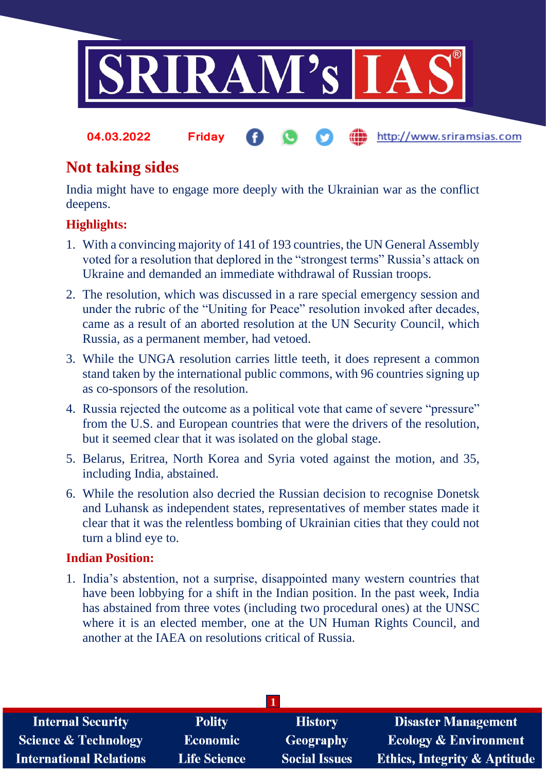

#### http://www.sriramsias.com **04.03.2022 Friday**

# **Not taking sides**

India might have to engage more deeply with the Ukrainian war as the conflict deepens.

## **Highlights:**

- 1. With a convincing majority of 141 of 193 countries, the UN General Assembly voted for a resolution that deplored in the "strongest terms" Russia's attack on Ukraine and demanded an immediate withdrawal of Russian troops.
- 2. The resolution, which was discussed in a rare special emergency session and under the rubric of the "Uniting for Peace" resolution invoked after decades, came as a result of an aborted resolution at the UN Security Council, which Russia, as a permanent member, had vetoed.
- 3. While the UNGA resolution carries little teeth, it does represent a common stand taken by the international public commons, with 96 countries signing up as co-sponsors of the resolution.
- 4. Russia rejected the outcome as a political vote that came of severe "pressure" from the U.S. and European countries that were the drivers of the resolution, but it seemed clear that it was isolated on the global stage.
- 5. Belarus, Eritrea, North Korea and Syria voted against the motion, and 35, including India, abstained.
- 6. While the resolution also decried the Russian decision to recognise Donetsk and Luhansk as independent states, representatives of member states made it clear that it was the relentless bombing of Ukrainian cities that they could not turn a blind eye to.

### **Indian Position:**

1. India's abstention, not a surprise, disappointed many western countries that have been lobbying for a shift in the Indian position. In the past week, India has abstained from three votes (including two procedural ones) at the UNSC where it is an elected member, one at the UN Human Rights Council, and another at the IAEA on resolutions critical of Russia.

| <b>Internal Security</b>        | <b>Polity</b>       | <b>History</b>       | <b>Disaster Management</b>              |
|---------------------------------|---------------------|----------------------|-----------------------------------------|
| <b>Science &amp; Technology</b> | <b>Economic</b>     | <b>Geography</b>     | <b>Ecology &amp; Environment</b>        |
| <b>International Relations</b>  | <b>Life Science</b> | <b>Social Issues</b> | <b>Ethics, Integrity &amp; Aptitude</b> |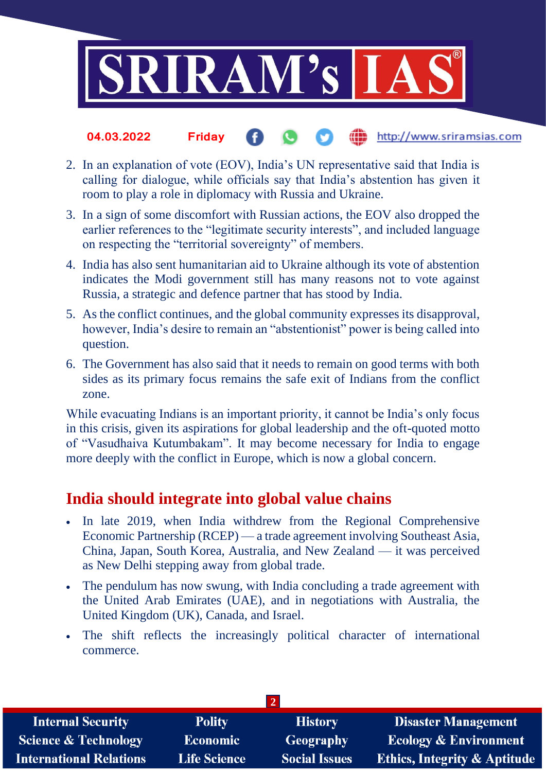

#### the http://www.sriramsias.com **04.03.2022 Friday**

- 2. In an explanation of vote (EOV), India's UN representative said that India is calling for dialogue, while officials say that India's abstention has given it room to play a role in diplomacy with Russia and Ukraine.
- 3. In a sign of some discomfort with Russian actions, the EOV also dropped the earlier references to the "legitimate security interests", and included language on respecting the "territorial sovereignty" of members.
- 4. India has also sent humanitarian aid to Ukraine although its vote of abstention indicates the Modi government still has many reasons not to vote against Russia, a strategic and defence partner that has stood by India.
- 5. As the conflict continues, and the global community expresses its disapproval, however, India's desire to remain an "abstentionist" power is being called into question.
- 6. The Government has also said that it needs to remain on good terms with both sides as its primary focus remains the safe exit of Indians from the conflict zone.

While evacuating Indians is an important priority, it cannot be India's only focus in this crisis, given its aspirations for global leadership and the oft-quoted motto of "Vasudhaiva Kutumbakam". It may become necessary for India to engage more deeply with the conflict in Europe, which is now a global concern.

## **India should integrate into global value chains**

- In late 2019, when India withdrew from the Regional Comprehensive Economic Partnership (RCEP) — a trade agreement involving Southeast Asia, China, Japan, South Korea, Australia, and New Zealand — it was perceived as New Delhi stepping away from global trade.
- The pendulum has now swung, with India concluding a trade agreement with the United Arab Emirates (UAE), and in negotiations with Australia, the United Kingdom (UK), Canada, and Israel.
- The shift reflects the increasingly political character of international commerce.

| <b>Internal Security</b>        | <b>Polity</b>       | <b>History</b>       | <b>Disaster Management</b>              |
|---------------------------------|---------------------|----------------------|-----------------------------------------|
| <b>Science &amp; Technology</b> | <b>Economic</b>     | <b>Geography</b>     | <b>Ecology &amp; Environment</b>        |
| <b>International Relations</b>  | <b>Life Science</b> | <b>Social Issues</b> | <b>Ethics, Integrity &amp; Aptitude</b> |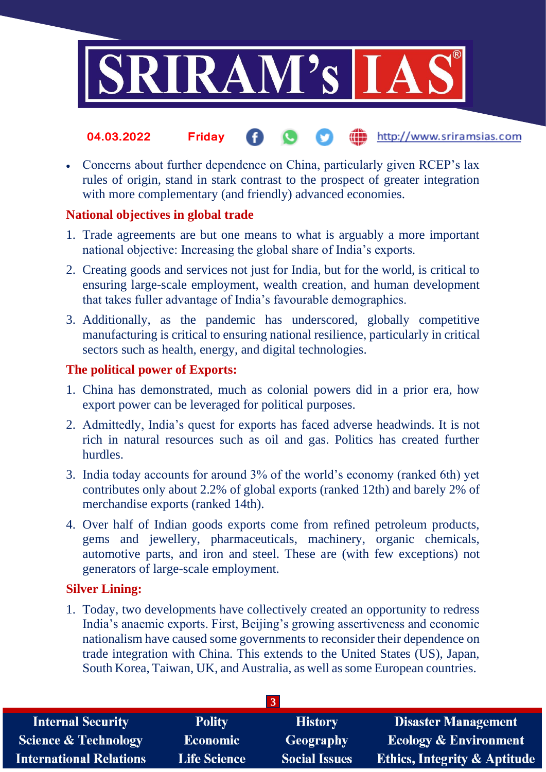

#### the http://www.sriramsias.com **04.03.2022 Friday**

• Concerns about further dependence on China, particularly given RCEP's lax rules of origin, stand in stark contrast to the prospect of greater integration with more complementary (and friendly) advanced economies.

### **National objectives in global trade**

- 1. Trade agreements are but one means to what is arguably a more important national objective: Increasing the global share of India's exports.
- 2. Creating goods and services not just for India, but for the world, is critical to ensuring large-scale employment, wealth creation, and human development that takes fuller advantage of India's favourable demographics.
- 3. Additionally, as the pandemic has underscored, globally competitive manufacturing is critical to ensuring national resilience, particularly in critical sectors such as health, energy, and digital technologies.

### **The political power of Exports:**

- 1. China has demonstrated, much as colonial powers did in a prior era, how export power can be leveraged for political purposes.
- 2. Admittedly, India's quest for exports has faced adverse headwinds. It is not rich in natural resources such as oil and gas. Politics has created further hurdles.
- 3. India today accounts for around 3% of the world's economy (ranked 6th) yet contributes only about 2.2% of global exports (ranked 12th) and barely 2% of merchandise exports (ranked 14th).
- 4. Over half of Indian goods exports come from refined petroleum products, gems and jewellery, pharmaceuticals, machinery, organic chemicals, automotive parts, and iron and steel. These are (with few exceptions) not generators of large-scale employment.

### **Silver Lining:**

1. Today, two developments have collectively created an opportunity to redress India's anaemic exports. First, Beijing's growing assertiveness and economic nationalism have caused some governments to reconsider their dependence on trade integration with China. This extends to the United States (US), Japan, South Korea, Taiwan, UK, and Australia, as well as some European countries.

| <b>Internal Security</b>        | <b>Polity</b>       | <b>History</b>       | <b>Disaster Management</b>              |
|---------------------------------|---------------------|----------------------|-----------------------------------------|
| <b>Science &amp; Technology</b> | <b>Economic</b>     | Geography            | <b>Ecology &amp; Environment</b>        |
| <b>International Relations</b>  | <b>Life Science</b> | <b>Social Issues</b> | <b>Ethics, Integrity &amp; Aptitude</b> |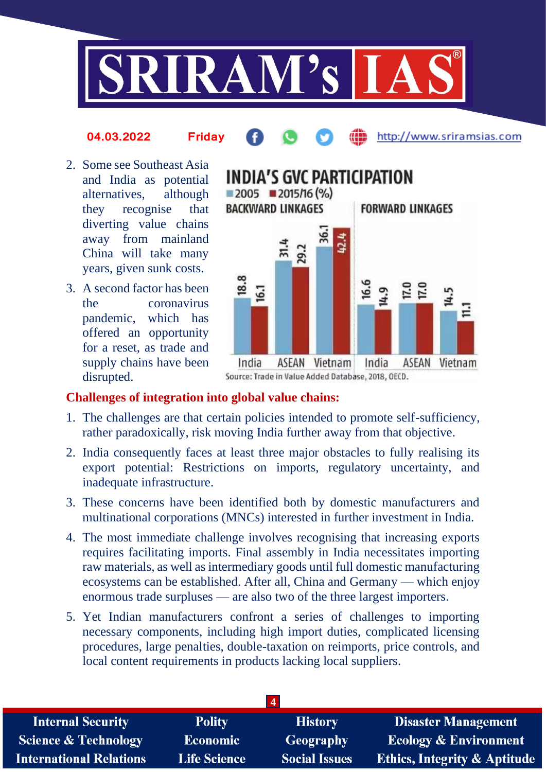

#### **04.03.2022 Friday**

http://www.sriramsias.com

- 2. Some see Southeast Asia and India as potential alternatives, although they recognise that diverting value chains away from mainland China will take many years, given sunk costs.
- 3. A second factor has been the coronavirus pandemic, which has offered an opportunity for a reset, as trade and supply chains have been disrupted.



## **Challenges of integration into global value chains:**

- 1. The challenges are that certain policies intended to promote self-sufficiency, rather paradoxically, risk moving India further away from that objective.
- 2. India consequently faces at least three major obstacles to fully realising its export potential: Restrictions on imports, regulatory uncertainty, and inadequate infrastructure.
- 3. These concerns have been identified both by domestic manufacturers and multinational corporations (MNCs) interested in further investment in India.
- 4. The most immediate challenge involves recognising that increasing exports requires facilitating imports. Final assembly in India necessitates importing raw materials, as well as intermediary goods until full domestic manufacturing ecosystems can be established. After all, China and Germany — which enjoy enormous trade surpluses — are also two of the three largest importers.
- 5. Yet Indian manufacturers confront a series of challenges to importing necessary components, including high import duties, complicated licensing procedures, large penalties, double-taxation on reimports, price controls, and local content requirements in products lacking local suppliers.

| -4                              |                     |                      |                                         |
|---------------------------------|---------------------|----------------------|-----------------------------------------|
| <b>Internal Security</b>        | <b>Polity</b>       | <b>History</b>       | <b>Disaster Management</b>              |
| <b>Science &amp; Technology</b> | <b>Economic</b>     | Geography            | <b>Ecology &amp; Environment</b>        |
| <b>International Relations</b>  | <b>Life Science</b> | <b>Social Issues</b> | <b>Ethics, Integrity &amp; Aptitude</b> |
|                                 |                     |                      |                                         |